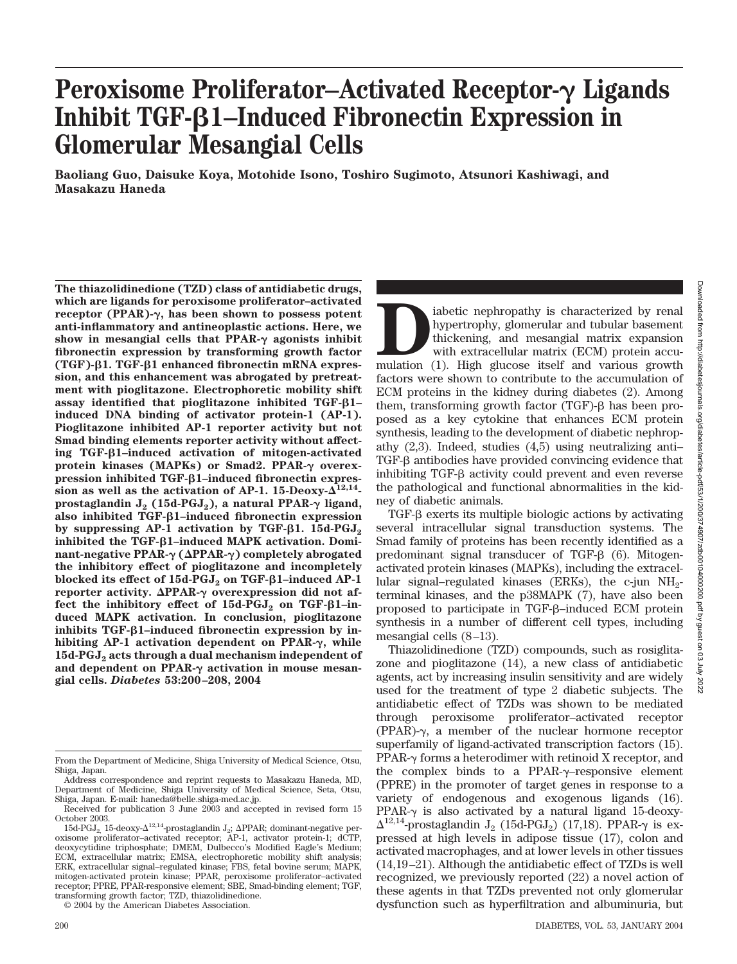# Peroxisome Proliferator–Activated Receptor- $\gamma$  Ligands **Inhibit TGF-β1–Induced Fibronectin Expression in Glomerular Mesangial Cells**

**Baoliang Guo, Daisuke Koya, Motohide Isono, Toshiro Sugimoto, Atsunori Kashiwagi, and Masakazu Haneda**

**The thiazolidinedione (TZD) class of antidiabetic drugs, which are ligands for peroxisome proliferator–activated receptor (PPAR)-, has been shown to possess potent anti-inflammatory and antineoplastic actions. Here, we** show in mesangial cells that  $PPAR-<sub>\gamma</sub>$  agonists inhibit **fibronectin expression by transforming growth factor (TGF)-β1. TGF-β1 enhanced fibronectin mRNA expression, and this enhancement was abrogated by pretreatment with pioglitazone. Electrophoretic mobility shift** assay identified that pioglitazone inhibited TGF- $\beta$ 1– **induced DNA binding of activator protein-1 (AP-1). Pioglitazone inhibited AP-1 reporter activity but not Smad binding elements reporter activity without affecting TGF-**-**1–induced activation of mitogen-activated** protein kinases (MAPKs) or Smad2. PPAR- $\gamma$  overex**pression inhibited TGF-β1-induced fibronectin expres**sion as well as the activation of AP-1. 15-Deoxy- $\overline{\Delta}^{12,14}$ **prostaglandin**  $J_2$  **(15d-PGJ<sub>2</sub>), a natural PPAR-** $\gamma$  **ligand,** also inhibited TGF-β1-induced fibronectin expression **by suppressing AP-1 activation by TGF-β1. 15d-PGJ<sub>2</sub>** inhibited the TGF-**β1**–induced MAPK activation. Domi**nant-negative PPAR- (PPAR-) completely abrogated the inhibitory effect of pioglitazone and incompletely blocked its effect of 15d-PGJ<sub>2</sub> on TGF-β1–induced AP-1 reporter activity. ΔPPAR- overexpression did not affect the inhibitory effect of 15d-PGJ<sub>2</sub> on TGF-β1–induced MAPK activation. In conclusion, pioglitazone** inhibits TGF- $\beta$ 1-induced fibronectin expression by in**hibiting AP-1 activation dependent on PPAR-, while 15d-PGJ2 acts through a dual mechanism independent of** and dependent on PPAR- $\gamma$  activation in mouse mesan**gial cells.** *Diabetes* **53:200–208, 2004**

© 2004 by the American Diabetes Association.

Downloaded from http://diabelesjournals.org/diabetes/article-pdf/53/1/200/374907/2db00104000200.pdf by guest on 03 July 2022 Downloaded from http://diabetesjournals.org/diabetes/article-pdf/53/1/200/374907/zdb00104000200.pdf by guest on 03 July 2022

iabetic nephropathy is characterized by renal<br>hypertrophy, glomerular and tubular basement<br>thickening, and mesangial matrix expansion<br>with extracellular matrix (ECM) protein accu-<br>mulation (1). High glucose itself and vari hypertrophy, glomerular and tubular basement thickening, and mesangial matrix expansion with extracellular matrix (ECM) protein accufactors were shown to contribute to the accumulation of ECM proteins in the kidney during diabetes (2). Among them, transforming growth factor  $(TGF)-\beta$  has been proposed as a key cytokine that enhances ECM protein synthesis, leading to the development of diabetic nephropathy (2,3). Indeed, studies (4,5) using neutralizing anti–  $TGF- $\beta$  antibodies have provided convincing evidence that$ inhibiting  $TGF- $\beta$  activity could prevent and even reverse$ the pathological and functional abnormalities in the kidney of diabetic animals.

 $TGF- $\beta$  exerts its multiple biologic actions by activating$ several intracellular signal transduction systems. The Smad family of proteins has been recently identified as a predominant signal transducer of TGF- $\beta$  (6). Mitogenactivated protein kinases (MAPKs), including the extracellular signal–regulated kinases (ERKs), the c-jun  $NH_2$ terminal kinases, and the p38MAPK (7), have also been proposed to participate in TGF- $\beta$ –induced ECM protein synthesis in a number of different cell types, including mesangial cells (8–13).

Thiazolidinedione (TZD) compounds, such as rosiglitazone and pioglitazone (14), a new class of antidiabetic agents, act by increasing insulin sensitivity and are widely used for the treatment of type 2 diabetic subjects. The antidiabetic effect of TZDs was shown to be mediated through peroxisome proliferator–activated receptor  $(PPAR)-\gamma$ , a member of the nuclear hormone receptor superfamily of ligand-activated transcription factors (15).  $PPAR-\gamma$  forms a heterodimer with retinoid X receptor, and the complex binds to a PPAR- $\gamma$ -responsive element (PPRE) in the promoter of target genes in response to a variety of endogenous and exogenous ligands (16). PPAR- $\gamma$  is also activated by a natural ligand 15-deoxy- $\Delta^{12,14}$ -prostaglandin J<sub>2</sub> (15d-PGJ<sub>2</sub>) (17,18). PPAR- $\gamma$  is expressed at high levels in adipose tissue (17), colon and activated macrophages, and at lower levels in other tissues (14,19–21). Although the antidiabetic effect of TZDs is well recognized, we previously reported (22) a novel action of these agents in that TZDs prevented not only glomerular dysfunction such as hyperfiltration and albuminuria, but

From the Department of Medicine, Shiga University of Medical Science, Otsu, Shiga, Japan.

Address correspondence and reprint requests to Masakazu Haneda, MD, Department of Medicine, Shiga University of Medical Science, Seta, Otsu, Shiga, Japan. E-mail: haneda@belle.shiga-med.ac.jp.

Received for publication 3 June 2003 and accepted in revised form 15 October 2003.

<sup>15</sup>d-PGJ<sub>2</sub>, 15-deoxy- $\Delta^{12,14}$ -prostaglandin J<sub>2</sub>;  $\Delta$ PPAR; dominant-negative peroxisome proliferator–activated receptor; AP-1, activator protein-1; dCTP, deoxycytidine triphosphate; DMEM, Dulbecco's Modified Eagle's Medium; ECM, extracellular matrix; EMSA, electrophoretic mobility shift analysis; ERK, extracellular signal–regulated kinase; FBS, fetal bovine serum; MAPK, mitogen-activated protein kinase; PPAR, peroxisome proliferator–activated receptor; PPRE, PPAR-responsive element; SBE, Smad-binding element; TGF, transforming growth factor; TZD, thiazolidinedione.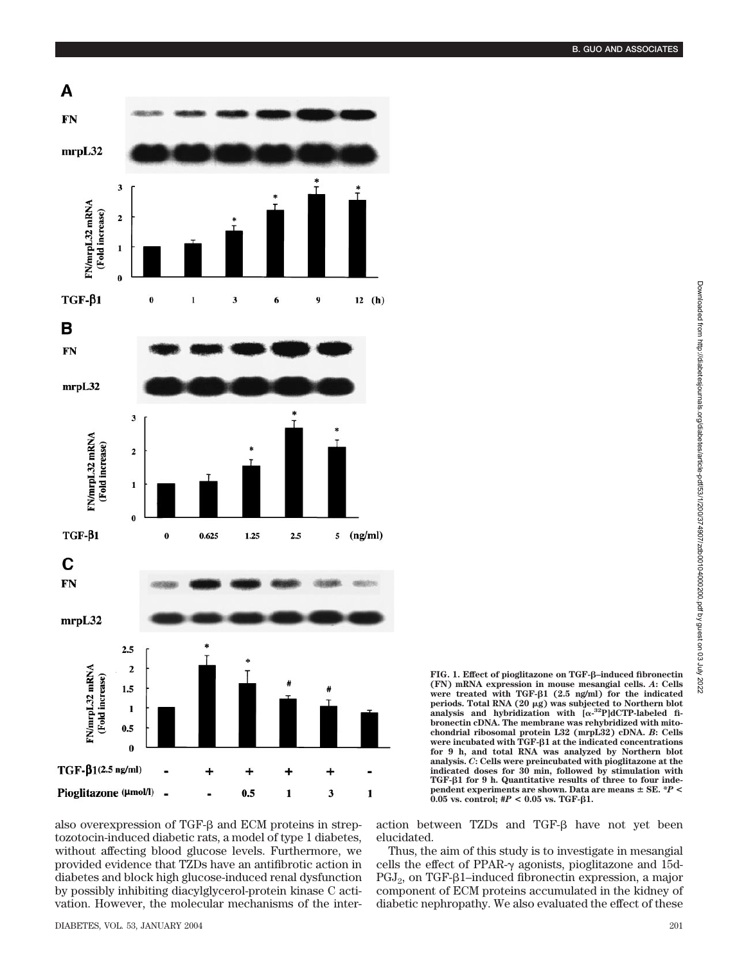

**FIG. 1. Effect of pioglitazone on TGF-β-induced fibronectin (FN) mRNA expression in mouse mesangial cells.** *A***: Cells were treated with TGF-**-**1 (2.5 ng/ml) for the indicated periods. Total RNA (20 g) was subjected to Northern blot** analysis and hybridization with  $[\alpha^{-32}P]$ dCTP-labeled fi**bronectin cDNA. The membrane was rehybridized with mitochondrial ribosomal protein L32 (mrpL32) cDNA.** *B***: Cells were incubated with TGF-β1 at the indicated concentrations for 9 h, and total RNA was analyzed by Northern blot analysis.** *C***: Cells were preincubated with pioglitazone at the indicated doses for 30 min, followed by stimulation with** TGF- $\beta$ 1 for 9 h. Quantitative results of three to four inde**pendent experiments are shown. Data are means SE.** *\*P* **<**  $0.05$  vs. control;  $#P < 0.05$  vs. TGF- $\beta1$ .

also overexpression of TGF- $\beta$  and ECM proteins in streptozotocin-induced diabetic rats, a model of type 1 diabetes, without affecting blood glucose levels. Furthermore, we provided evidence that TZDs have an antifibrotic action in diabetes and block high glucose-induced renal dysfunction by possibly inhibiting diacylglycerol-protein kinase C activation. However, the molecular mechanisms of the interaction between TZDs and TGF- $\beta$  have not yet been elucidated.

Thus, the aim of this study is to investigate in mesangial cells the effect of PPAR- $\gamma$  agonists, pioglitazone and 15d- $PGJ<sub>2</sub>$ , on TGF- $\beta$ 1–induced fibronectin expression, a major component of ECM proteins accumulated in the kidney of diabetic nephropathy. We also evaluated the effect of these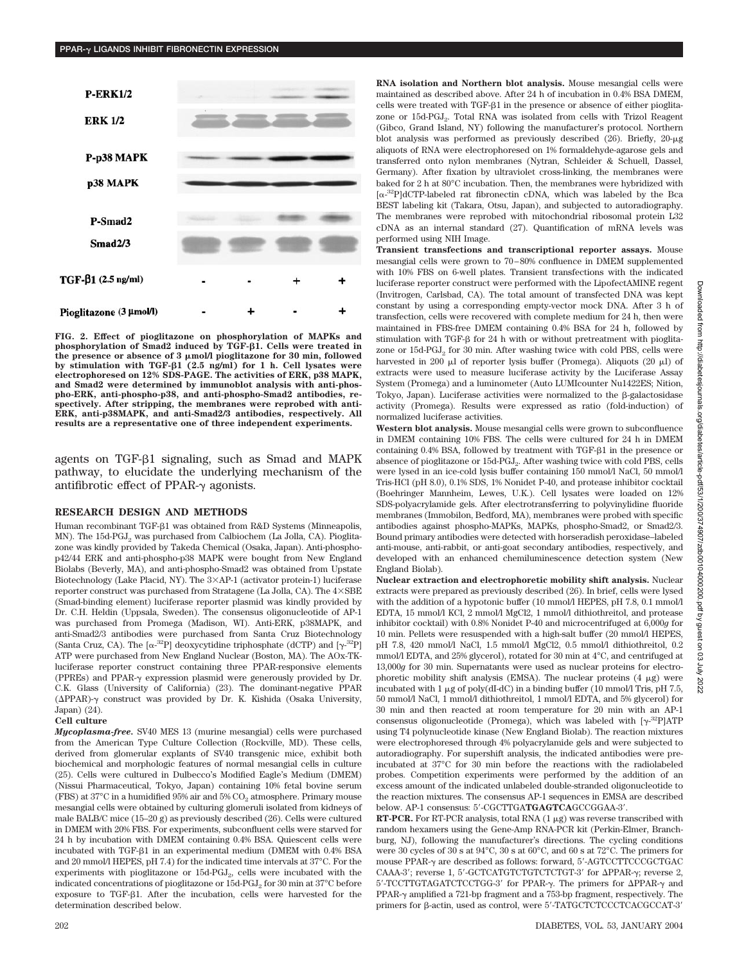

**FIG. 2. Effect of pioglitazone on phosphorylation of MAPKs and phosphorylation of Smad2 induced by TGF-β1. Cells were treated in the presence or absence of 3 mol/l pioglitazone for 30 min, followed by stimulation with TGF-β1 (2.5 ng/ml) for 1 h. Cell lysates were electrophoresed on 12% SDS-PAGE. The activities of ERK, p38 MAPK, and Smad2 were determined by immunoblot analysis with anti-phospho-ERK, anti-phospho-p38, and anti-phospho-Smad2 antibodies, respectively. After stripping, the membranes were reprobed with anti-ERK, anti-p38MAPK, and anti-Smad2/3 antibodies, respectively. All results are a representative one of three independent experiments.**

agents on TGF- $\beta$ 1 signaling, such as Smad and MAPK pathway, to elucidate the underlying mechanism of the antifibrotic effect of PPAR- $\gamma$  agonists.

## **RESEARCH DESIGN AND METHODS**

Human recombinant TGF- $\beta$ 1 was obtained from R&D Systems (Minneapolis, MN). The 15d-PGJ<sub>2</sub> was purchased from Calbiochem (La Jolla, CA). Pioglitazone was kindly provided by Takeda Chemical (Osaka, Japan). Anti-phosphop42/44 ERK and anti-phospho-p38 MAPK were bought from New England Biolabs (Beverly, MA), and anti-phospho-Smad2 was obtained from Upstate Biotechnology (Lake Placid, NY). The 3×AP-1 (activator protein-1) luciferase reporter construct was purchased from Stratagene (La Jolla, CA). The  $4\times$ SBE (Smad-binding element) luciferase reporter plasmid was kindly provided by Dr. C.H. Heldin (Uppsala, Sweden). The consensus oligonucleotide of AP-1 was purchased from Promega (Madison, WI). Anti-ERK, p38MAPK, and anti-Smad2/3 antibodies were purchased from Santa Cruz Biotechnology (Santa Cruz, CA). The  $\left[\alpha^{-32}P\right]$  deoxycytidine triphosphate (dCTP) and  $\left[\gamma^{-32}P\right]$ ATP were purchased from New England Nuclear (Boston, MA). The AOx-TKluciferase reporter construct containing three PPAR-responsive elements (PPREs) and PPAR- $\gamma$  expression plasmid were generously provided by Dr. C.K. Glass (University of California) (23). The dominant-negative PPAR  $(\Delta$ PPAR $)$ - $\gamma$  construct was provided by Dr. K. Kishida (Osaka University, Japan) (24).

#### **Cell culture**

*Mycoplasma-free.* SV40 MES 13 (murine mesangial) cells were purchased from the American Type Culture Collection (Rockville, MD). These cells, derived from glomerular explants of SV40 transgenic mice, exhibit both biochemical and morphologic features of normal mesangial cells in culture (25). Cells were cultured in Dulbecco's Modified Eagle's Medium (DMEM) (Nissui Pharmaceutical, Tokyo, Japan) containing 10% fetal bovine serum (FBS) at  $37^{\circ}$ C in a humidified  $95\%$  air and  $5\%$  CO<sub>2</sub> atmosphere. Primary mouse mesangial cells were obtained by culturing glomeruli isolated from kidneys of male BALB/C mice (15–20 g) as previously described (26). Cells were cultured in DMEM with 20% FBS. For experiments, subconfluent cells were starved for 24 h by incubation with DMEM containing 0.4% BSA. Quiescent cells were incubated with TGF- $\beta$ 1 in an experimental medium (DMEM with 0.4% BSA and 20 mmol/l HEPES, pH 7.4) for the indicated time intervals at 37°C. For the experiments with pioglitazone or  $15d$ -PGJ<sub>2</sub>, cells were incubated with the indicated concentrations of pioglitazone or 15d-PGJ<sub>2</sub> for 30 min at 37°C before exposure to TGF- $\beta$ 1. After the incubation, cells were harvested for the determination described below.

**RNA isolation and Northern blot analysis.** Mouse mesangial cells were maintained as described above. After 24 h of incubation in 0.4% BSA DMEM, cells were treated with TGF- $\beta$ 1 in the presence or absence of either pioglitazone or 15d-PGJ<sub>2</sub>. Total RNA was isolated from cells with Trizol Reagent (Gibco, Grand Island, NY) following the manufacturer's protocol. Northern blot analysis was performed as previously described  $(26)$ . Briefly,  $20 - \mu g$ aliquots of RNA were electrophoresed on 1% formaldehyde-agarose gels and transferred onto nylon membranes (Nytran, Schleider & Schuell, Dassel, Germany). After fixation by ultraviolet cross-linking, the membranes were baked for 2 h at 80°C incubation. Then, the membranes were hybridized with [a-<sup>32</sup>P]dCTP-labeled rat fibronectin cDNA, which was labeled by the Bca BEST labeling kit (Takara, Otsu, Japan), and subjected to autoradiography. The membranes were reprobed with mitochondrial ribosomal protein L32 cDNA as an internal standard (27). Quantification of mRNA levels was performed using NIH Image.

**Transient transfections and transcriptional reporter assays.** Mouse mesangial cells were grown to 70–80% confluence in DMEM supplemented with 10% FBS on 6-well plates. Transient transfections with the indicated luciferase reporter construct were performed with the LipofectAMINE regent (Invitrogen, Carlsbad, CA). The total amount of transfected DNA was kept constant by using a corresponding empty-vector mock DNA. After 3 h of transfection, cells were recovered with complete medium for 24 h, then were maintained in FBS-free DMEM containing 0.4% BSA for 24 h, followed by stimulation with TGF- $\beta$  for 24 h with or without pretreatment with pioglitazone or  $15d$ -PGJ<sub>2</sub> for 30 min. After washing twice with cold PBS, cells were harvested in 200  $\mu$ l of reporter lysis buffer (Promega). Aliquots (20  $\mu$ l) of extracts were used to measure luciferase activity by the Luciferase Assay System (Promega) and a luminometer (Auto LUMIcounter Nu1422ES; Nition, Tokyo, Japan). Luciferase activities were normalized to the -galactosidase activity (Promega). Results were expressed as ratio (fold-induction) of normalized luciferase activities.

**Western blot analysis.** Mouse mesangial cells were grown to subconfluence in DMEM containing 10% FBS. The cells were cultured for 24 h in DMEM containing 0.4% BSA, followed by treatment with TGF- $\beta$ 1 in the presence or absence of pioglitazone or 15d-PGJ<sub>2</sub>. After washing twice with cold PBS, cells were lysed in an ice-cold lysis buffer containing 150 mmol/l NaCl, 50 mmol/l Tris-HCl (pH 8.0), 0.1% SDS, 1% Nonidet P-40, and protease inhibitor cocktail (Boehringer Mannheim, Lewes, U.K.). Cell lysates were loaded on 12% SDS-polyacrylamide gels. After electrotransferring to polyvinylidine fluoride membranes (Immobilon, Bedford, MA), membranes were probed with specific antibodies against phospho-MAPKs, MAPKs, phospho-Smad2, or Smad2/3. Bound primary antibodies were detected with horseradish peroxidase–labeled anti-mouse, anti-rabbit, or anti-goat secondary antibodies, respectively, and developed with an enhanced chemiluminescence detection system (New England Biolab).

**Nuclear extraction and electrophoretic mobility shift analysis.** Nuclear extracts were prepared as previously described (26). In brief, cells were lysed with the addition of a hypotonic buffer (10 mmol/l HEPES, pH 7.8, 0.1 mmol/l EDTA, 15 mmol/l KCl, 2 mmol/l MgCl2, 1 mmol/l dithiothreitol, and protease inhibitor cocktail) with 0.8% Nonidet P-40 and microcentrifuged at 6,000*g* for 10 min. Pellets were resuspended with a high-salt buffer (20 mmol/l HEPES, pH 7.8, 420 mmol/l NaCl, 1.5 mmol/l MgCl2, 0.5 mmol/l dithiothreitol, 0.2 mmol/l EDTA, and 25% glycerol), rotated for 30 min at 4°C, and centrifuged at 13,000*g* for 30 min. Supernatants were used as nuclear proteins for electrophoretic mobility shift analysis (EMSA). The nuclear proteins  $(4 \mu g)$  were incubated with  $1 \mu$ g of poly(dI-dC) in a binding buffer (10 mmol/l Tris, pH 7.5, 50 mmol/l NaCl, 1 mmol/l dithiothreitol, 1 mmol/l EDTA, and 5% glycerol) for 30 min and then reacted at room temperature for 20 min with an AP-1 consensus oligonucleotide (Promega), which was labeled with  $[\gamma^{.32}P]ATP$ using T4 polynucleotide kinase (New England Biolab). The reaction mixtures were electrophoresed through 4% polyacrylamide gels and were subjected to autoradiography. For supershift analysis, the indicated antibodies were preincubated at 37°C for 30 min before the reactions with the radiolabeled probes. Competition experiments were performed by the addition of an excess amount of the indicated unlabeled double-stranded oligonucleotide to the reaction mixtures. The consensus AP-1 sequences in EMSA are described below. AP-1 consensus: 5-CGCTTGA**TGAGTCA**GCCGGAA-3.

**RT-PCR.** For RT-PCR analysis, total RNA  $(1 \mu g)$  was reverse transcribed with random hexamers using the Gene-Amp RNA-PCR kit (Perkin-Elmer, Branchburg, NJ), following the manufacturer's directions. The cycling conditions were 30 cycles of 30 s at 94°C, 30 s at 60°C, and 60 s at 72°C. The primers for mouse PPAR- $\gamma$  are described as follows: forward, 5'-AGTCCTTCCCGCTGAC CAAA-3'; reverse 1, 5'-GCTCATGTCTGTCTCTGT-3' for ΔPPAR-γ; reverse 2, 5'-TCCTTGTAGATCTCCTGG-3' for PPAR-γ. The primers for ΔPPAR-γ and PPAR- $\gamma$  amplified a 721-bp fragment and a 753-bp fragment, respectively. The primers for  $\beta$ -actin, used as control, were 5'-TATGCTCTCCCTCACGCCAT-3'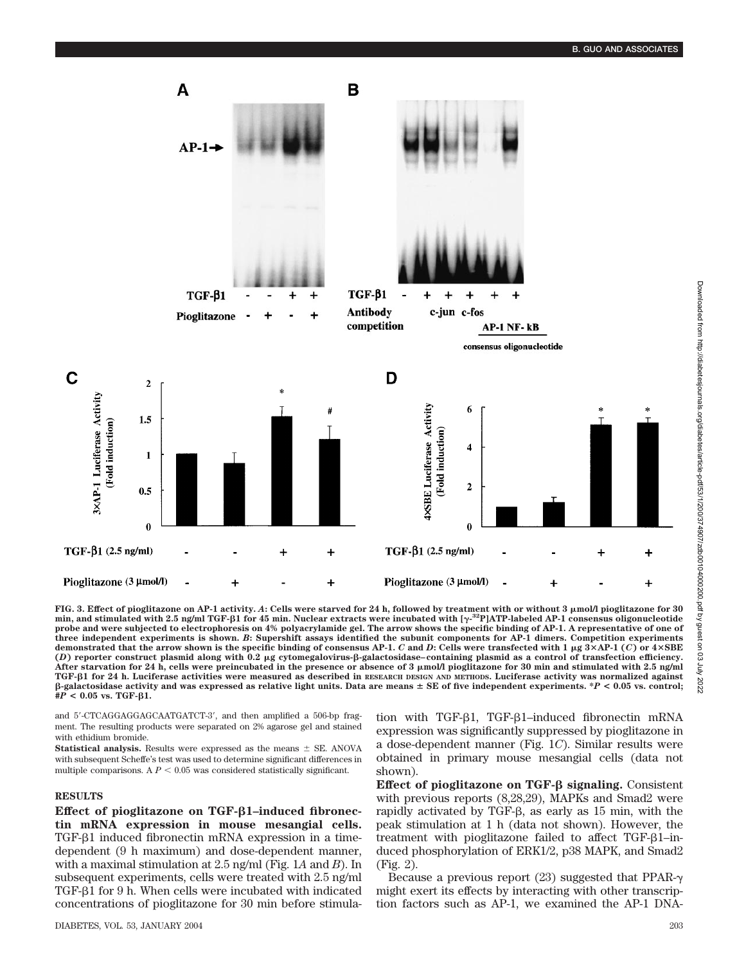

**FIG. 3. Effect of pioglitazone on AP-1 activity.** *A***: Cells were starved for 24 h, followed by treatment with or without 3 mol/l pioglitazone for 30** min, and stimulated with 2.5 ng/ml TGF-β1 for 45 min. Nuclear extracts were incubated with [ $γ$ <sup>.32</sup>P]ATP-labeled AP-1 consensus oligonucleotide **probe and were subjected to electrophoresis on 4% polyacrylamide gel. The arrow shows the specific binding of AP-1. A representative of one of three independent experiments is shown.** *B***: Supershift assays identified the subunit components for AP-1 dimers. Competition experiments demonstrated that the arrow shown is the specific binding of consensus AP-1.** *C* **and** *D***: Cells were transfected with 1 g 3AP-1 (***C***) or 4SBE** (*D*) reporter construct plasmid along with 0.2 μg cytomegalovirus-β-galactosidase–containing plasmid as a control of transfection efficiency. **After starvation for 24 h, cells were preincubated in the presence or absence of 3 mol/l pioglitazone for 30 min and stimulated with 2.5 ng/ml TGF-**-**1 for 24 h. Luciferase activities were measured as described in RESEARCH DESIGN AND METHODS. Luciferase activity was normalized against**  $\beta$ -galactosidase activity and was expressed as relative light units. Data are means  $\pm$  SE of five independent experiments.  $\ast$ *P* < 0.05 vs. control;  $#P < 0.05$  vs. TGF- $\beta$ 1.

and 5'-CTCAGGAGGAGCAATGATCT-3', and then amplified a 506-bp fragment. The resulting products were separated on 2% agarose gel and stained with ethidium bromide.

**Statistical analysis.** Results were expressed as the means  $\pm$  SE. ANOVA with subsequent Scheffe's test was used to determine significant differences in multiple comparisons. A  $P < 0.05$  was considered statistically significant.

#### **RESULTS**

**Effect of pioglitazone on TGF-β1-induced fibronectin mRNA expression in mouse mesangial cells.** TGF- $\beta$ 1 induced fibronectin mRNA expression in a timedependent (9 h maximum) and dose-dependent manner, with a maximal stimulation at 2.5 ng/ml (Fig. 1*A* and *B*). In subsequent experiments, cells were treated with 2.5 ng/ml TGF- $\beta$ 1 for 9 h. When cells were incubated with indicated concentrations of pioglitazone for 30 min before stimula-

DIABETES, VOL. 53, JANUARY 2004 203

tion with TGF-81, TGF-81–induced fibronectin mRNA expression was significantly suppressed by pioglitazone in a dose-dependent manner (Fig. 1*C*). Similar results were obtained in primary mouse mesangial cells (data not shown).

**Effect of pioglitazone on TGF-β signaling.** Consistent with previous reports (8,28,29), MAPKs and Smad2 were rapidly activated by TGF- $\beta$ , as early as 15 min, with the peak stimulation at 1 h (data not shown). However, the treatment with pioglitazone failed to affect TGF- $\beta$ 1-induced phosphorylation of ERK1/2, p38 MAPK, and Smad2 (Fig. 2).

Because a previous report  $(23)$  suggested that PPAR- $\gamma$ might exert its effects by interacting with other transcription factors such as AP-1, we examined the AP-1 DNA-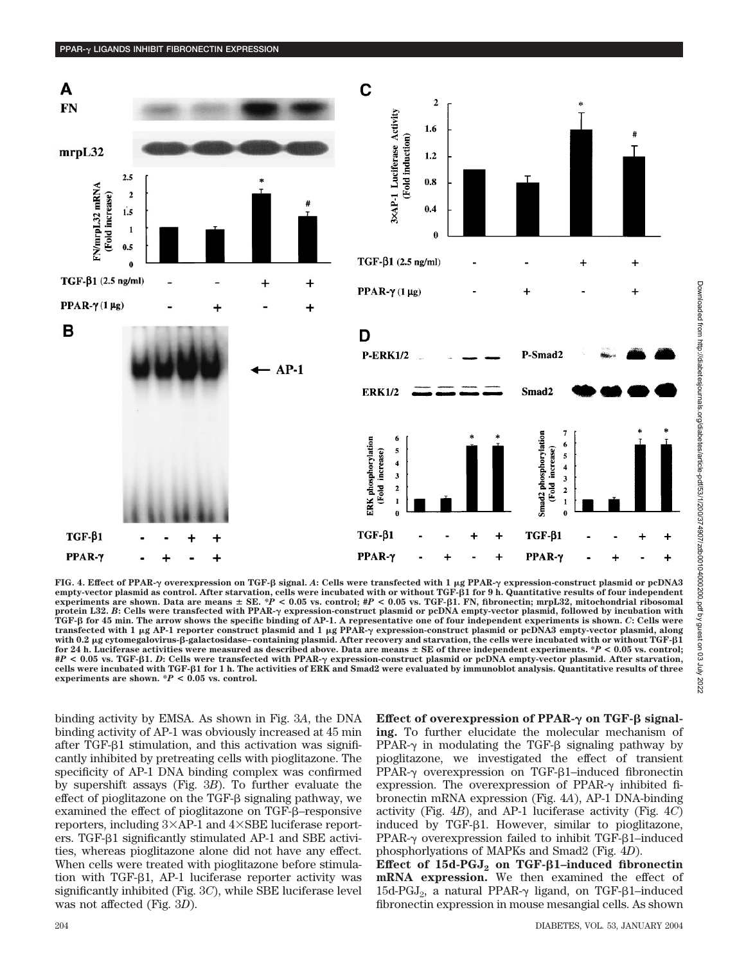



**FIG. 4. Effect of PPAR- overexpression on TGF-**- **signal.** *A***: Cells were transfected with 1 g PPAR- expression-construct plasmid or pcDNA3** empty-vector plasmid as control. After starvation, cells were incubated with or without TGF- $\beta$ 1 for 9 h. Quantitative results of four independent **experiments are shown. Data are means SE.** *\*P* **< 0.05 vs. control; #***P* **< 0.05 vs. TGF***-*-**1. FN, fibronectin; mrpL32, mitochondrial ribosomal protein L32.** *B***: Cells were transfected with PPAR- expression-construct plasmid or pcDNA empty-vector plasmid, followed by incubation with TGF-**- **for 45 min. The arrow shows the specific binding of AP-1. A representative one of four independent experiments is shown.** *C***: Cells were transfected with 1 g AP-1 reporter construct plasmid and 1 g PPAR- expression-construct plasmid or pcDNA3 empty-vector plasmid, along** with 0.2 µg cytomegalovirus-β-galactosidase–containing plasmid. After recovery and starvation, the cells were incubated with or without TGF-β1 **for 24 h. Luciferase activities were measured as described above. Data are means SE of three independent experiments. \****P* **< 0.05 vs. control; #***P* **< 0.05 vs. TGF-**-**1.** *D***: Cells were transfected with PPAR- expression-construct plasmid or pcDNA empty-vector plasmid. After starvation, cells were incubated with TGF-**-**1 for 1 h. The activities of ERK and Smad2 were evaluated by immunoblot analysis. Quantitative results of three experiments are shown. \****P* **< 0.05 vs. control.**

binding activity by EMSA. As shown in Fig. 3*A*, the DNA binding activity of AP-1 was obviously increased at 45 min after TGF- $\beta$ 1 stimulation, and this activation was significantly inhibited by pretreating cells with pioglitazone. The specificity of AP-1 DNA binding complex was confirmed by supershift assays (Fig. 3*B*). To further evaluate the effect of pioglitazone on the  $TGF- $\beta$  signaling pathway, we$ examined the effect of pioglitazone on  $TGF- $\beta$ -response$ reporters, including  $3\times$ AP-1 and  $4\times$ SBE luciferase reporters. TGF- $\beta$ 1 significantly stimulated AP-1 and SBE activities, whereas pioglitazone alone did not have any effect. When cells were treated with pioglitazone before stimulation with TGF- $\beta$ 1, AP-1 luciferase reporter activity was significantly inhibited (Fig. 3*C*), while SBE luciferase level was not affected (Fig. 3*D*).

**Effect of overexpression of PPAR-γ on TGF-β signaling.** To further elucidate the molecular mechanism of PPAR- $\gamma$  in modulating the TGF- $\beta$  signaling pathway by pioglitazone, we investigated the effect of transient  $PPAR-\gamma$  overexpression on TGF- $\beta$ 1-induced fibronectin expression. The overexpression of PPAR- $\gamma$  inhibited fibronectin mRNA expression (Fig. 4*A*), AP-1 DNA-binding activity (Fig. 4*B*), and AP-1 luciferase activity (Fig. 4*C*) induced by TGF- $\beta$ 1. However, similar to pioglitazone,  $PPAR-\gamma$  overexpression failed to inhibit TGF- $\beta$ 1-induced phosphorlyations of MAPKs and Smad2 (Fig. 4*D*).

**Effect of 15d-PGJ<sub>2</sub> on TGF-β1–induced fibronectin mRNA expression.** We then examined the effect of 15d-PGJ<sub>2</sub>, a natural PPAR- $\gamma$  ligand, on TGF- $\beta$ 1-induced fibronectin expression in mouse mesangial cells. As shown

PPAR-γ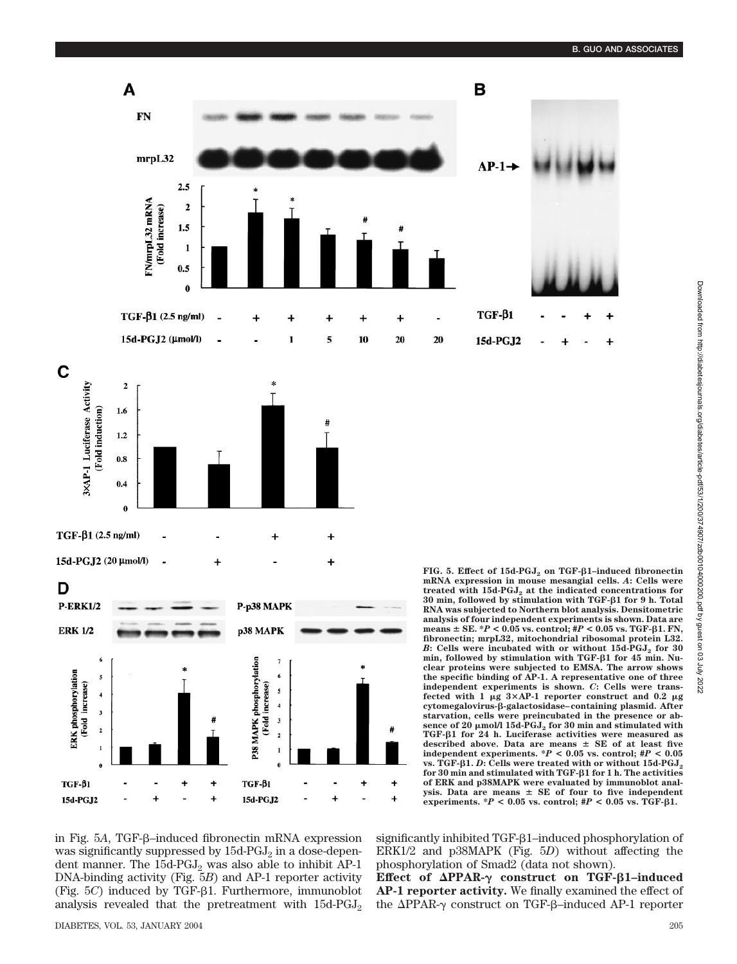

in Fig. 5A, TGF-β-induced fibronectin mRNA expression was significantly suppressed by  $15d$ -PGJ<sub>2</sub> in a dose-dependent manner. The  $15d$ -PGJ<sub>2</sub> was also able to inhibit AP-1 DNA-binding activity (Fig. 5*B*) and AP-1 reporter activity (Fig. 5*C*) induced by TGF- $\beta$ 1. Furthermore, immunoblot analysis revealed that the pretreatment with  $15d$ -PGJ<sub>2</sub>

÷

15d-PGJ2

phosphorylation of Smad2 (data not shown). **Effect of ΔPPAR-γ construct on TGF-β1-induced** 

÷

**AP-1 reporter activity.** We finally examined the effect of the  $\Delta$ PPAR- $\gamma$  construct on TGF- $\beta$ -induced AP-1 reporter

significantly inhibited  $TGF- $\beta$ 1–induced phosphorylation of$ ERK1/2 and p38MAPK (Fig. 5*D*) without affecting the

experiments.  $*P < 0.05$  vs. control;  $#P < 0.05$  vs. TGF- $\beta$ 1.

15d-PGJ2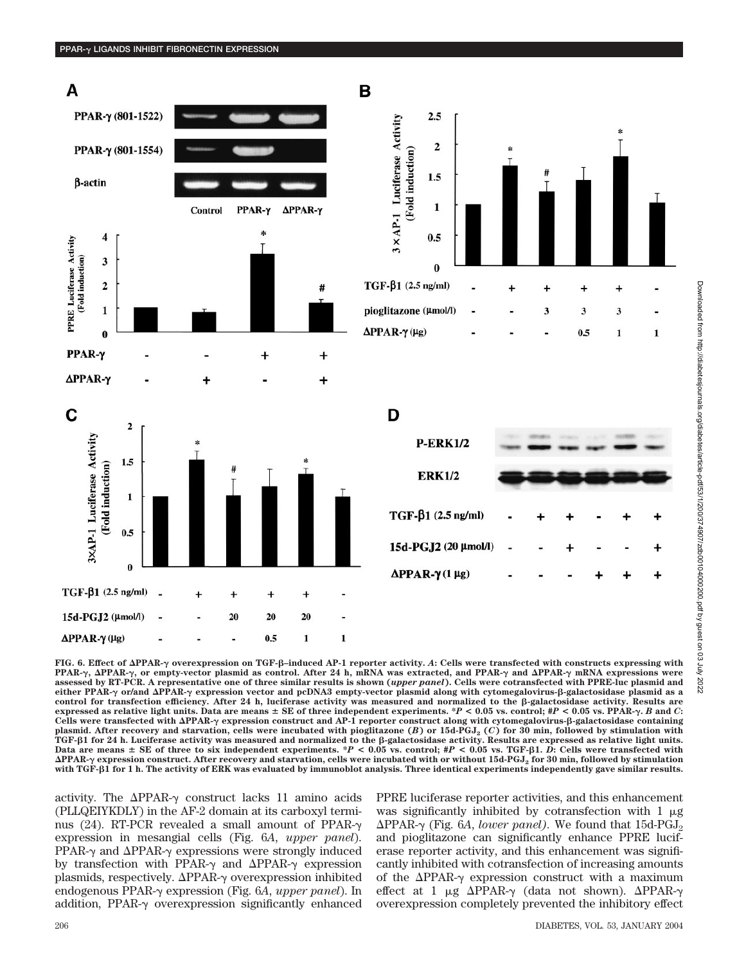

**FIG. 6. Effect of PPAR- overexpression on TGF-**-**–induced AP-1 reporter activity.** *A***: Cells were transfected with constructs expressing with PPAR-, PPAR-, or empty-vector plasmid as control. After 24 h, mRNA was extracted, and PPAR- and PPAR- mRNA expressions were assessed by RT-PCR. A representative one of three similar results is shown (***upper panel***). Cells were cotransfected with PPRE-luc plasmid and** either PPAR- $\gamma$  or/and  $\Delta$ PPAR- $\gamma$  expression vector and pcDNA3 empty-vector plasmid along with cytomegalovirus-ß-galactosidase plasmid as a control for transfection efficiency. After 24 h, luciferase activity was measured and normalized to the  $\beta$ -galactosidase activity. Results are expressed as relative light units. Data are means  $\pm$  SE of three independent experiments. \*P < 0.05 vs. control; #P < 0.05 vs. PPAR- $\gamma$ . B and C: Cells were transfected with ΔPPAR-γ expression construct and AP-1 reporter construct along with cytomegalovirus-β-galactosidase containing plasmid. After recovery and starvation, cells were incubated with pioglitazone (*B*) or 15d-PGJ<sub>2</sub> (*C*) for 30 min, followed by stimulation with TGF-β1 for 24 h. Luciferase activity was measured and normalized to the β-galactosidase activity. Results are expressed as relative light units. **Data are means SE of three to six independent experiments. \****P* **< 0.05 vs. control; #***P* **< 0.05 vs. TGF-**-**1.** *D***: Cells were transfected with** ΔPPAR-γ expression construct. After recovery and starvation, cells were incubated with or without 15d-PGJ<sub>2</sub> for 30 min, followed by stimulation<br>with TGF-β1 for 1 h. The activity of ERK was evaluated by immunoblot analysi

activity. The  $\Delta$ PPAR- $\gamma$  construct lacks 11 amino acids (PLLQEIYKDLY) in the AF-2 domain at its carboxyl terminus (24). RT-PCR revealed a small amount of PPAR- $\gamma$ expression in mesangial cells (Fig. 6*A*, *upper panel*). PPAR- $\gamma$  and  $\Delta$ PPAR- $\gamma$  expressions were strongly induced by transfection with PPAR- $\gamma$  and  $\Delta$ PPAR- $\gamma$  expression plasmids, respectively.  $\Delta$ PPAR- $\gamma$  overexpression inhibited endogenous PPAR-γ expression (Fig. 6*A, upper panel*). In addition, PPAR- $\gamma$  overexpression significantly enhanced

PPRE luciferase reporter activities, and this enhancement was significantly inhibited by cotransfection with  $1 \mu$ g  $\Delta$ PPAR- $\gamma$  (Fig. 6*A*, *lower panel*). We found that 15d-PGJ<sub>2</sub> and pioglitazone can significantly enhance PPRE luciferase reporter activity, and this enhancement was significantly inhibited with cotransfection of increasing amounts of the  $\Delta$ PPAR- $\gamma$  expression construct with a maximum effect at 1  $\mu$ g  $\Delta$ PPAR- $\gamma$  (data not shown).  $\Delta$ PPAR- $\gamma$ overexpression completely prevented the inhibitory effect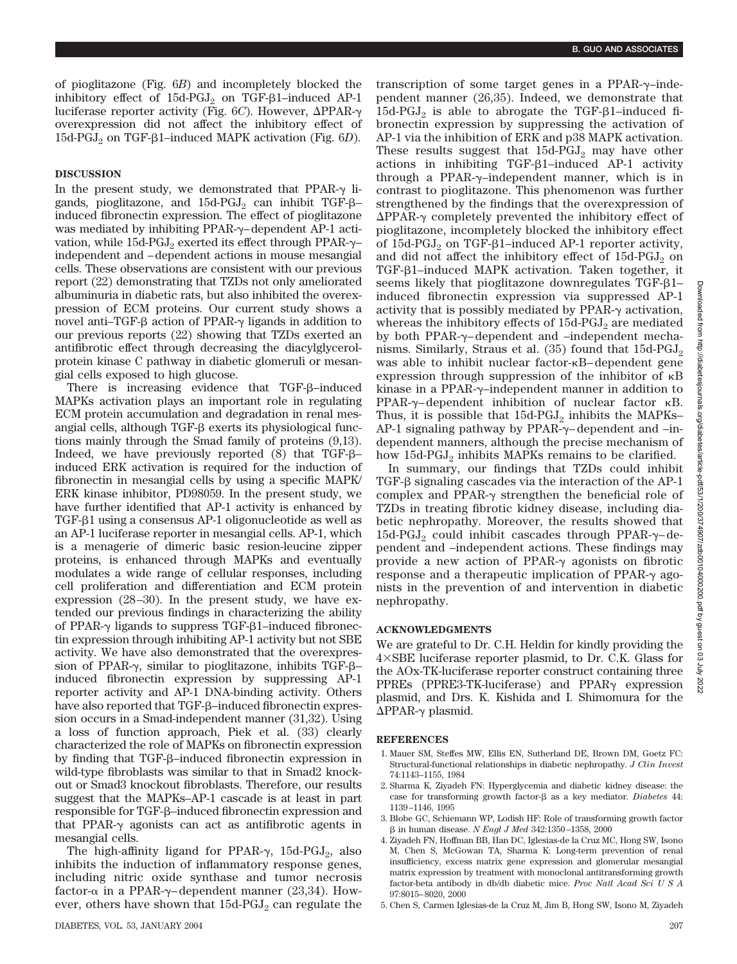of pioglitazone (Fig. 6*B*) and incompletely blocked the inhibitory effect of  $15d$ -PGJ<sub>2</sub> on TGF- $\beta$ 1–induced AP-1 luciferase reporter activity (Fig. 6C). However, ΔPPAR-γ overexpression did not affect the inhibitory effect of 15d-PGJ<sub>2</sub> on TGF-β1–induced MAPK activation (Fig. 6*D*).

### **DISCUSSION**

In the present study, we demonstrated that PPAR- $\gamma$  ligands, pioglitazone, and  $15d$ -PGJ<sub>2</sub> can inhibit TGF- $\beta$ induced fibronectin expression. The effect of pioglitazone was mediated by inhibiting  $PPAR-\gamma$ -dependent AP-1 activation, while  $15d$ -PGJ $_2$  exerted its effect through PPAR- $\gamma$ independent and –dependent actions in mouse mesangial cells. These observations are consistent with our previous report (22) demonstrating that TZDs not only ameliorated albuminuria in diabetic rats, but also inhibited the overexpression of ECM proteins. Our current study shows a novel anti–TGF- $\beta$  action of PPAR- $\gamma$  ligands in addition to our previous reports (22) showing that TZDs exerted an antifibrotic effect through decreasing the diacylglycerolprotein kinase C pathway in diabetic glomeruli or mesangial cells exposed to high glucose.

There is increasing evidence that  $TGF- $\beta$ -induced$ MAPKs activation plays an important role in regulating ECM protein accumulation and degradation in renal mesangial cells, although  $TGF- $\beta$  exerts its physiological func$ tions mainly through the Smad family of proteins (9,13). Indeed, we have previously reported  $(8)$  that TGF- $\beta$ – induced ERK activation is required for the induction of fibronectin in mesangial cells by using a specific MAPK/ ERK kinase inhibitor, PD98059. In the present study, we have further identified that AP-1 activity is enhanced by TGF- $\beta$ 1 using a consensus AP-1 oligonucleotide as well as an AP-1 luciferase reporter in mesangial cells. AP-1, which is a menagerie of dimeric basic resion-leucine zipper proteins, is enhanced through MAPKs and eventually modulates a wide range of cellular responses, including cell proliferation and differentiation and ECM protein expression (28–30). In the present study, we have extended our previous findings in characterizing the ability of PPAR- $\gamma$  ligands to suppress TGF- $\beta$ 1-induced fibronectin expression through inhibiting AP-1 activity but not SBE activity. We have also demonstrated that the overexpression of PPAR- $\gamma$ , similar to pioglitazone, inhibits TGF- $\beta$ induced fibronectin expression by suppressing AP-1 reporter activity and AP-1 DNA-binding activity. Others have also reported that TGF- $\beta$ –induced fibronectin expression occurs in a Smad-independent manner (31,32). Using a loss of function approach, Piek et al. (33) clearly characterized the role of MAPKs on fibronectin expression by finding that  $TGF- $\beta$ -induced fibronectin expression in$ wild-type fibroblasts was similar to that in Smad2 knockout or Smad3 knockout fibroblasts. Therefore, our results suggest that the MAPKs–AP-1 cascade is at least in part responsible for TGF- $\beta$ –induced fibronectin expression and that PPAR- $\gamma$  agonists can act as antifibrotic agents in mesangial cells.

The high-affinity ligand for PPAR- $\gamma$ , 15d-PGJ<sub>2</sub>, also inhibits the induction of inflammatory response genes, including nitric oxide synthase and tumor necrosis factor- $\alpha$  in a PPAR- $\gamma$ –dependent manner (23,34). However, others have shown that  $15d$ -PGJ<sub>2</sub> can regulate the

transcription of some target genes in a PPAR- $\gamma$ –independent manner (26,35). Indeed, we demonstrate that 15d-PGJ<sub>2</sub> is able to abrogate the TGF- $\beta$ 1–induced fibronectin expression by suppressing the activation of AP-1 via the inhibition of ERK and p38 MAPK activation. These results suggest that  $15d$ -PGJ<sub>2</sub> may have other actions in inhibiting  $TGF-B1$ –induced AP-1 activity through a PPAR- $\gamma$ -independent manner, which is in contrast to pioglitazone. This phenomenon was further strengthened by the findings that the overexpression of  $\Delta$ PPAR- $\gamma$  completely prevented the inhibitory effect of pioglitazone, incompletely blocked the inhibitory effect of 15d-PGJ<sub>2</sub> on TGF- $\beta$ 1–induced AP-1 reporter activity, and did not affect the inhibitory effect of  $15d-PGJ<sub>2</sub>$  on TGF- $\beta$ 1–induced MAPK activation. Taken together, it seems likely that pioglitazone downregulates TGF- $\beta$ 1– induced fibronectin expression via suppressed AP-1 activity that is possibly mediated by PPAR- $\gamma$  activation, whereas the inhibitory effects of  $15d$ -PGJ<sub>2</sub> are mediated by both PPAR- $\gamma$ -dependent and -independent mechanisms. Similarly, Straus et al.  $(35)$  found that  $15d$ -PGJ<sub>2</sub> was able to inhibit nuclear factor- B– dependent gene expression through suppression of the inhibitor of  $\kappa$ B kinase in a PPAR-y-independent manner in addition to  $PPAR-\gamma$ -dependent inhibition of nuclear factor  $\kappa B$ . Thus, it is possible that  $15d$ -PGJ<sub>2</sub> inhibits the MAPKs–  $AP-1$  signaling pathway by PPAR- $\gamma$ – dependent and –independent manners, although the precise mechanism of how  $15d$ -PGJ<sub>2</sub> inhibits MAPKs remains to be clarified.

In summary, our findings that TZDs could inhibit TGF- $\beta$  signaling cascades via the interaction of the AP-1 complex and PPAR- $\gamma$  strengthen the beneficial role of TZDs in treating fibrotic kidney disease, including diabetic nephropathy. Moreover, the results showed that 15d-PGJ<sub>2</sub> could inhibit cascades through PPAR- $\gamma$ -dependent and –independent actions. These findings may provide a new action of PPAR- $\gamma$  agonists on fibrotic response and a therapeutic implication of PPAR- $\gamma$  agonists in the prevention of and intervention in diabetic nephropathy.

#### **ACKNOWLEDGMENTS**

We are grateful to Dr. C.H. Heldin for kindly providing the  $4 \times$ SBE luciferase reporter plasmid, to Dr. C.K. Glass for the AOx-TK-luciferase reporter construct containing three PPREs (PPRE3-TK-luciferase) and  $PPAR\gamma$  expression plasmid, and Drs. K. Kishida and I. Shimomura for the  $\Delta$ PPAR- $\gamma$  plasmid.

#### **REFERENCES**

- 1. Mauer SM, Steffes MW, Ellis EN, Sutherland DE, Brown DM, Goetz FC: Structural-functional relationships in diabetic nephropathy. *J Clin Invest* 74:1143–1155, 1984
- 2. Sharma K, Ziyadeh FN: Hyperglycemia and diabetic kidney disease: the case for transforming growth factor- $\beta$  as a key mediator. *Diabetes* 44: 1139–1146, 1995
- 3. Blobe GC, Schiemann WP, Lodish HF: Role of transforming growth factor in human disease. *N Engl J Med* 342:1350–1358, 2000
- 4. Ziyadeh FN, Hoffman BB, Han DC, Iglesias-de la Cruz MC, Hong SW, Isono M, Chen S, McGowan TA, Sharma K: Long-term prevention of renal insufficiency, excess matrix gene expression and glomerular mesangial matrix expression by treatment with monoclonal antitransforming growth factor-beta antibody in db/db diabetic mice. *Proc Natl Acad SciUSA* 97:8015–8020, 2000
- 5. Chen S, Carmen Iglesias-de la Cruz M, Jim B, Hong SW, Isono M, Ziyadeh